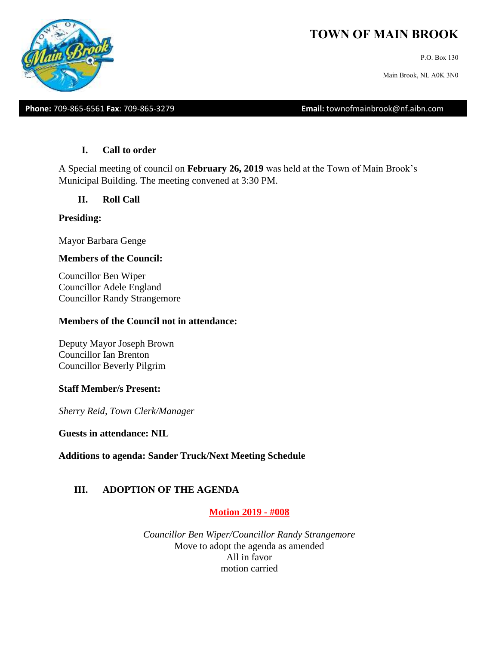# **TOWN OF MAIN BROOK**

P.O. Box 130

Main Brook, NL A0K 3N0

**Phone:** 709-865-6561 **Fax**: 709-865-3279 **Email:** townofmainbrook@nf.aibn.com

### **I. Call to order**

A Special meeting of council on **February 26, 2019** was held at the Town of Main Brook's Municipal Building. The meeting convened at 3:30 PM.

**II. Roll Call**

### **Presiding:**

Mayor Barbara Genge

### **Members of the Council:**

Councillor Ben Wiper Councillor Adele England Councillor Randy Strangemore

### **Members of the Council not in attendance:**

Deputy Mayor Joseph Brown Councillor Ian Brenton Councillor Beverly Pilgrim

### **Staff Member/s Present:**

*Sherry Reid, Town Clerk/Manager*

**Guests in attendance: NIL**

**Additions to agenda: Sander Truck/Next Meeting Schedule**

# **III. ADOPTION OF THE AGENDA**

### **Motion 2019 - #008**

*Councillor Ben Wiper/Councillor Randy Strangemore* Move to adopt the agenda as amended All in favor motion carried

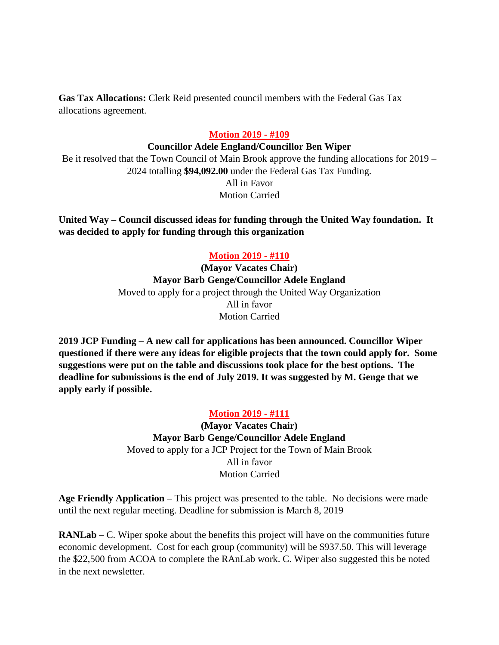**Gas Tax Allocations:** Clerk Reid presented council members with the Federal Gas Tax allocations agreement.

### **Motion 2019 - #109**

#### **Councillor Adele England/Councillor Ben Wiper**

Be it resolved that the Town Council of Main Brook approve the funding allocations for 2019 – 2024 totalling **\$94,092.00** under the Federal Gas Tax Funding.

> All in Favor Motion Carried

**United Way – Council discussed ideas for funding through the United Way foundation. It was decided to apply for funding through this organization**

### **Motion 2019 - #110**

**(Mayor Vacates Chair) Mayor Barb Genge/Councillor Adele England** Moved to apply for a project through the United Way Organization All in favor Motion Carried

**2019 JCP Funding – A new call for applications has been announced. Councillor Wiper questioned if there were any ideas for eligible projects that the town could apply for. Some suggestions were put on the table and discussions took place for the best options. The deadline for submissions is the end of July 2019. It was suggested by M. Genge that we apply early if possible.** 

#### **Motion 2019 - #111**

**(Mayor Vacates Chair) Mayor Barb Genge/Councillor Adele England** Moved to apply for a JCP Project for the Town of Main Brook All in favor Motion Carried

**Age Friendly Application –** This project was presented to the table. No decisions were made until the next regular meeting. Deadline for submission is March 8, 2019

**RANLab** – C. Wiper spoke about the benefits this project will have on the communities future economic development. Cost for each group (community) will be \$937.50. This will leverage the \$22,500 from ACOA to complete the RAnLab work. C. Wiper also suggested this be noted in the next newsletter.